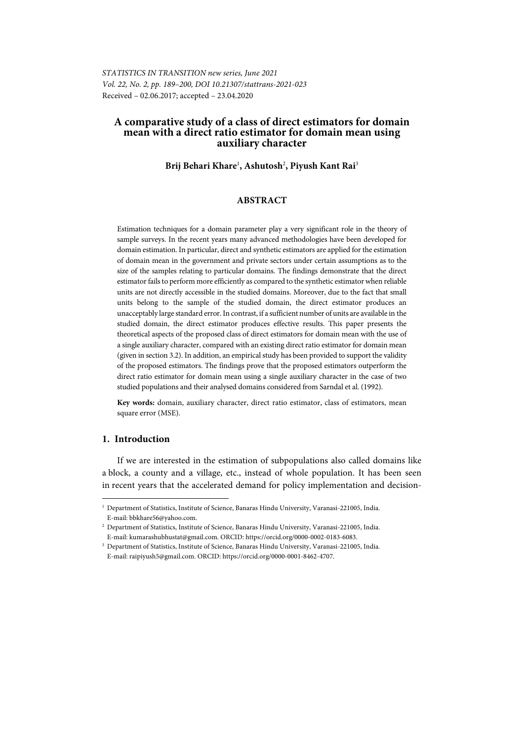# **A comparative study of a class of direct estimators for domain mean with a direct ratio estimator for domain mean using auxiliary character**

**Brij Behari Khare**<sup>1</sup> **, Ashutosh**<sup>2</sup> **, Piyush Kant Rai**<sup>3</sup>

# **ABSTRACT**

Estimation techniques for a domain parameter play a very significant role in the theory of sample surveys. In the recent years many advanced methodologies have been developed for domain estimation. In particular, direct and synthetic estimators are applied for the estimation of domain mean in the government and private sectors under certain assumptions as to the size of the samples relating to particular domains. The findings demonstrate that the direct estimator fails to perform more efficiently as compared to the synthetic estimator when reliable units are not directly accessible in the studied domains. Moreover, due to the fact that small units belong to the sample of the studied domain, the direct estimator produces an unacceptably large standard error. In contrast, if a sufficient number of units are available in the studied domain, the direct estimator produces effective results. This paper presents the theoretical aspects of the proposed class of direct estimators for domain mean with the use of a single auxiliary character, compared with an existing direct ratio estimator for domain mean (given in section 3.2). In addition, an empirical study has been provided to support the validity of the proposed estimators. The findings prove that the proposed estimators outperform the direct ratio estimator for domain mean using a single auxiliary character in the case of two studied populations and their analysed domains considered from Sarndal et al. (1992).

**Key words:** domain, auxiliary character, direct ratio estimator, class of estimators, mean square error (MSE).

## **1. Introduction**

l

If we are interested in the estimation of subpopulations also called domains like a block, a county and a village, etc., instead of whole population. It has been seen in recent years that the accelerated demand for policy implementation and decision-

<sup>1</sup> Department of Statistics, Institute of Science, Banaras Hindu University, Varanasi-221005, India. E-mail: bbkhare56@yahoo.com.

<sup>&</sup>lt;sup>2</sup> Department of Statistics, Institute of Science, Banaras Hindu University, Varanasi-221005, India. E-mail: kumarashubhustat@gmail.com. ORCID: https://orcid.org/0000-0002-0183-6083.

<sup>&</sup>lt;sup>3</sup> Department of Statistics, Institute of Science, Banaras Hindu University, Varanasi-221005, India. E-mail: raipiyush5@gmail.com. ORCID: https://orcid.org/0000-0001-8462-4707.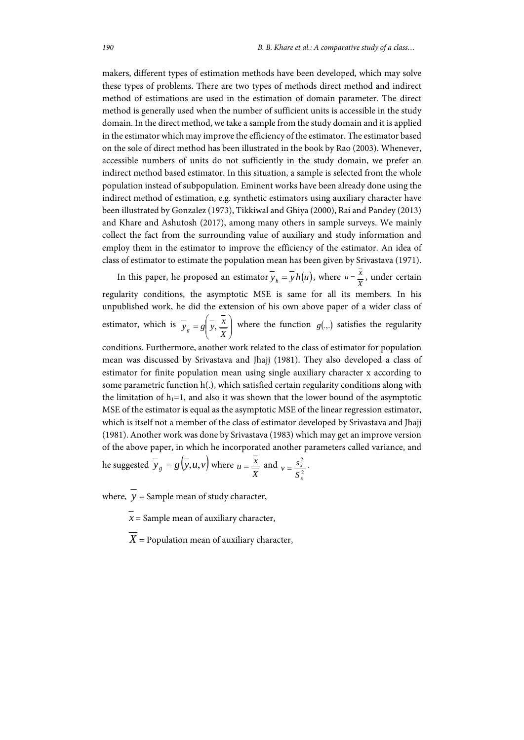makers, different types of estimation methods have been developed, which may solve these types of problems. There are two types of methods direct method and indirect method of estimations are used in the estimation of domain parameter. The direct method is generally used when the number of sufficient units is accessible in the study domain. In the direct method, we take a sample from the study domain and it is applied in the estimator which may improve the efficiency of the estimator. The estimator based on the sole of direct method has been illustrated in the book by Rao (2003). Whenever, accessible numbers of units do not sufficiently in the study domain, we prefer an indirect method based estimator. In this situation, a sample is selected from the whole population instead of subpopulation. Eminent works have been already done using the indirect method of estimation, e.g. synthetic estimators using auxiliary character have been illustrated by Gonzalez (1973), Tikkiwal and Ghiya (2000), Rai and Pandey (2013) and Khare and Ashutosh (2017), among many others in sample surveys. We mainly collect the fact from the surrounding value of auxiliary and study information and employ them in the estimator to improve the efficiency of the estimator. An idea of class of estimator to estimate the population mean has been given by Srivastava (1971).

In this paper, he proposed an estimator  $\overline{y}_h = \overline{y}h(u)$ , where  $u = \frac{x}{\overline{X}}$ , under certain regularity conditions, the asymptotic MSE is same for all its members. In his unpublished work, he did the extension of his own above paper of a wider class of estimator, which is  $\overline{y}_g = g \left| \overline{y}, \frac{x}{y} \right|$ )  $\backslash$  $\overline{\phantom{a}}$  $\overline{y}_g = g\left(\overline{y}, \frac{\overline{x}}{\overline{X}}\right)$  where the function *g*(.,.) satisfies the regularity

conditions. Furthermore, another work related to the class of estimator for population mean was discussed by Srivastava and Jhajj (1981). They also developed a class of estimator for finite population mean using single auxiliary character x according to some parametric function h(.), which satisfied certain regularity conditions along with the limitation of  $h_1=1$ , and also it was shown that the lower bound of the asymptotic MSE of the estimator is equal as the asymptotic MSE of the linear regression estimator, which is itself not a member of the class of estimator developed by Srivastava and Jhajj (1981). Another work was done by Srivastava (1983) which may get an improve version of the above paper, in which he incorporated another parameters called variance, and he suggested  $y_g = g(y, u, v)$  where  $u = \frac{x}{\overline{Y}}$  and  $v = \frac{s_x^2}{s^2}$  $v = \frac{s_x^2}{2}$ .

*X*

*x S*

where,  $\overline{y}$  = Sample mean of study character,

 $x =$  Sample mean of auxiliary character,

 $X =$  Population mean of auxiliary character,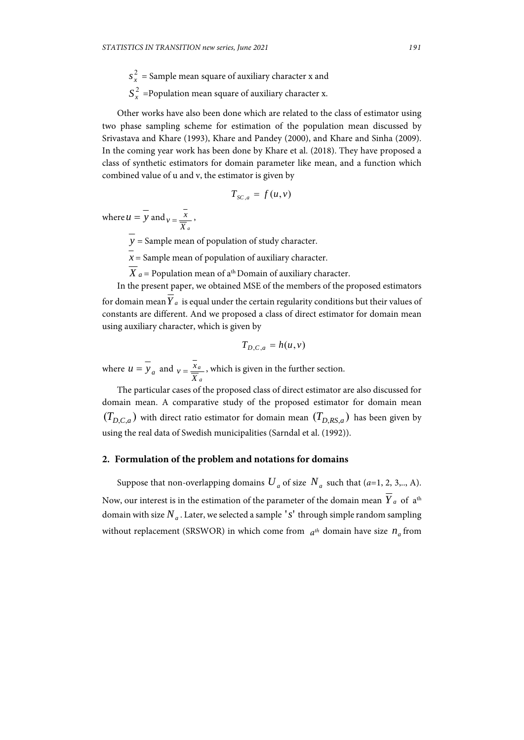$s_x^2$  = Sample mean square of auxiliary character **x** and

 $S_r^2$  =Population mean square of auxiliary character x.

Other works have also been done which are related to the class of estimator using two phase sampling scheme for estimation of the population mean discussed by Srivastava and Khare (1993), Khare and Pandey (2000), and Khare and Sinha (2009). In the coming year work has been done by Khare et al. (2018). They have proposed a class of synthetic estimators for domain parameter like mean, and a function which combined value of u and v, the estimator is given by

$$
T_{SC,a} = f(u,v)
$$

where  $u = y$  and *X <sup>a</sup>*  $v = \frac{x}{x}$ 

 $\overline{y}$  = Sample mean of population of study character.

 $\bar{x}$  = Sample mean of population of auxiliary character.

 $\overline{X}_a$  = Population mean of a<sup>th</sup> Domain of auxiliary character.

In the present paper, we obtained MSE of the members of the proposed estimators for domain mean  $Y_a$  is equal under the certain regularity conditions but their values of constants are different. And we proposed a class of direct estimator for domain mean using auxiliary character, which is given by

$$
T_{D,C,a} = h(u,v)
$$

where  $u = y_a$  and  $v = \frac{x_a}{\overline{X}_a}$ *a X*  $v = \frac{x_a}{x_a}$ , which is given in the further section.

The particular cases of the proposed class of direct estimator are also discussed for domain mean. A comparative study of the proposed estimator for domain mean  $(T_{D,C,a})$  with direct ratio estimator for domain mean  $(T_{D,RS,a})$  has been given by using the real data of Swedish municipalities (Sarndal et al. (1992)).

#### **2. Formulation of the problem and notations for domains**

Suppose that non-overlapping domains  $U_a$  of size  $N_a$  such that (*a*=1, 2, 3,.., A). Now, our interest is in the estimation of the parameter of the domain mean  $\overline{Y}_a$  of a<sup>th</sup> domain with size  $N_a$ . Later, we selected a sample 's' through simple random sampling without replacement (SRSWOR) in which come from  $a^{th}$  domain have size  $n_a$  from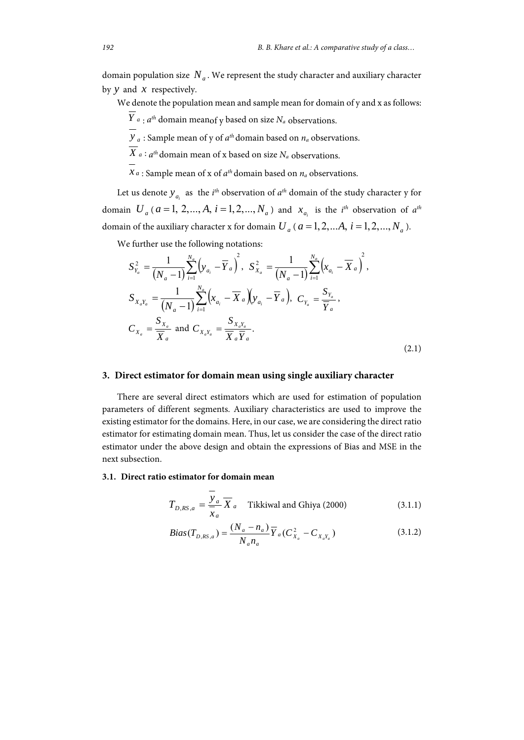domain population size  $N_a$ . We represent the study character and auxiliary character by *y* and *x* respectively.

We denote the population mean and sample mean for domain of y and x as follows:

 $\overline{Y}_a$ :  $a^{th}$  domain meanof y based on size  $N_a$  observations.

 $\overline{y}_a$ : Sample mean of y of  $a^{th}$  domain based on  $n_a$  observations.

 $\overline{X}_a$ :  $a^{th}$  domain mean of x based on size  $N_a$  observations.

 $x_a$ : Sample mean of x of  $a^{th}$  domain based on  $n_a$  observations.

Let us denote  $y_{a_i}$  as the *i<sup>th</sup>* observation of  $a^{th}$  domain of the study character y for domain  $U_a$  ( $a = 1, 2, ..., A$ ,  $i = 1, 2, ..., N_a$ ) and  $x_{a_i}$  is the *i*<sup>th</sup> observation of  $a^{th}$ domain of the auxiliary character x for domain  $U_a$  ( $a = 1, 2, \dots, A$ ,  $i = 1, 2, \dots, N_a$ ).

We further use the following notations:

$$
S_{Y_a}^2 = \frac{1}{(N_a - 1)} \sum_{i=1}^{N_a} (y_{a_i} - \overline{Y}_a)^2, \quad S_{X_a}^2 = \frac{1}{(N_a - 1)} \sum_{i=1}^{N_a} (x_{a_i} - \overline{X}_a)^2,
$$
  
\n
$$
S_{X_a Y_a} = \frac{1}{(N_a - 1)} \sum_{i=1}^{N_a} (x_{a_i} - \overline{X}_a) (y_{a_i} - \overline{Y}_a), \quad C_{Y_a} = \frac{S_{Y_a}}{\overline{Y}_a},
$$
  
\n
$$
C_{X_a} = \frac{S_{X_a}}{\overline{X}_a} \text{ and } C_{X_a Y_a} = \frac{S_{X_a Y_a}}{\overline{X}_a \overline{Y}_a}.
$$
\n(2.1)

## **3. Direct estimator for domain mean using single auxiliary character**

There are several direct estimators which are used for estimation of population parameters of different segments. Auxiliary characteristics are used to improve the existing estimator for the domains. Here, in our case, we are considering the direct ratio estimator for estimating domain mean. Thus, let us consider the case of the direct ratio estimator under the above design and obtain the expressions of Bias and MSE in the next subsection.

#### **3.1. Direct ratio estimator for domain mean**

$$
T_{D,RS,a} = \frac{y_a}{x_a} \overline{X}_a
$$
 Tikkiwal and Ghiya (2000) (3.1.1)

$$
Bias(T_{D,RS,a}) = \frac{(N_a - n_a)}{N_a n_a} \overline{Y}_a (C_{X_a}^2 - C_{X_a Y_a})
$$
\n(3.1.2)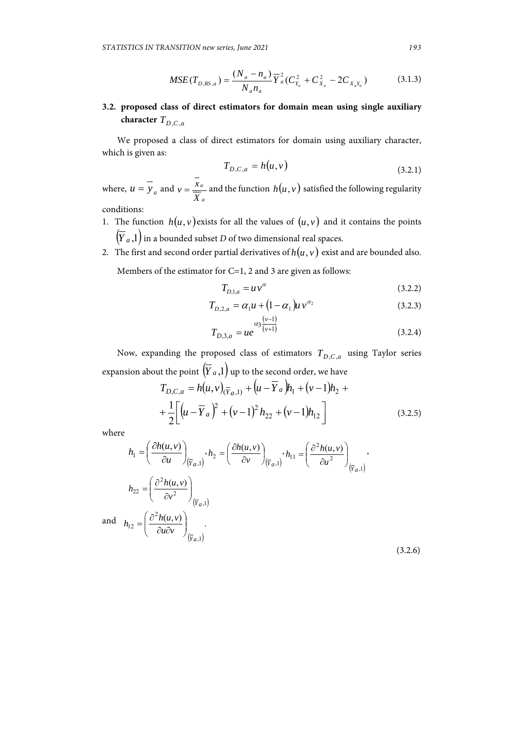$$
MSE(T_{D,RS,a}) = \frac{(N_a - n_a)}{N_a n_a} \overline{Y}_a^2 (C_{Y_a}^2 + C_{X_a}^2 - 2C_{X_a Y_a})
$$
(3.1.3)

**3.2. proposed class of direct estimators for domain mean using single auxiliary character**  $T_{D,C,a}$ 

We proposed a class of direct estimators for domain using auxiliary character, which is given as:

$$
T_{D,C,a} = h(u,v) \tag{3.2.1}
$$

where,  $u = y_a$  and  $v = \frac{x_a}{\overline{X}_a}$ *a X*  $v = \frac{x_a}{x_a}$  and the function  $h(u, v)$  satisfied the following regularity conditions:

- 1. The function  $h(u, v)$  exists for all the values of  $(u, v)$  and it contains the points  $\left(\overline{Y}_{a}, 1\right)$  in a bounded subset *D* of two dimensional real spaces.
- 2. The first and second order partial derivatives of  $h(u, v)$  exist and are bounded also. Members of the estimator for C=1, 2 and 3 are given as follows:

$$
T_{D,1,a} = uv^{\alpha} \tag{3.2.2}
$$

$$
T_{D,2,a} = \alpha_1 u + (1 - \alpha_1) u v^{\alpha_2}
$$
 (3.2.3)

$$
T_{D,3,a} = ue^{\alpha_3 \frac{(\nu-1)}{(\nu+1)}}
$$
(3.2.4)

Now, expanding the proposed class of estimators  $T_{D,C,a}$  using Taylor series expansion about the point  $(\overline{Y}_a, 1)$  up to the second order, we have

$$
T_{D,C,a} = h(u, v)_{(\overline{Y}_a, 1)} + (u - \overline{Y}_a)h_1 + (v - 1)h_2 +
$$
  
+ 
$$
\frac{1}{2} \Big[ (u - \overline{Y}_a)^2 + (v - 1)^2 h_{22} + (v - 1)h_{12} \Big]
$$
(3.2.5)

where

$$
h_1 = \left(\frac{\partial h(u, v)}{\partial u}\right)_{(\overline{Y}_a, 1)}, h_2 = \left(\frac{\partial h(u, v)}{\partial v}\right)_{(\overline{Y}_a, 1)}, h_{11} = \left(\frac{\partial^2 h(u, v)}{\partial u^2}\right)_{(\overline{Y}_a, 1)},
$$
  
\n
$$
h_{22} = \left(\frac{\partial^2 h(u, v)}{\partial v^2}\right)_{(\overline{Y}_a, 1)}
$$
  
\nand 
$$
h_{12} = \left(\frac{\partial^2 h(u, v)}{\partial u \partial v}\right)_{(\overline{Y}_a, 1)}.
$$
\n(3.2.6)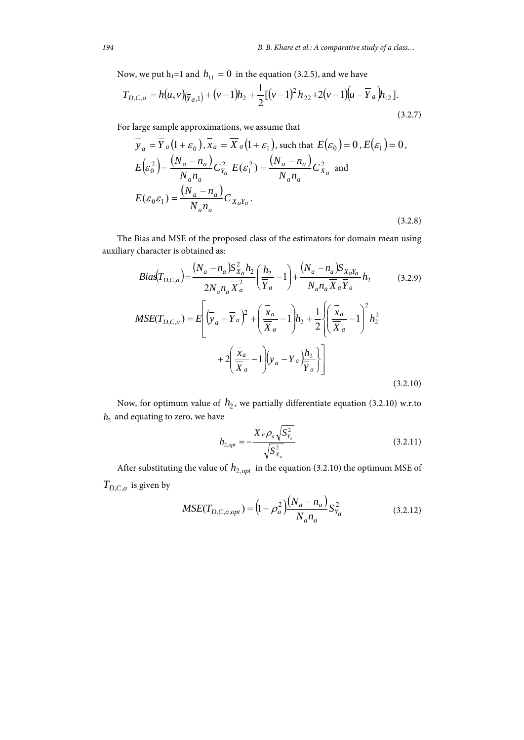Now, we put  $h_1=1$  and  $h_{11} = 0$  in the equation (3.2.5), and we have

$$
T_{D,C,a} = h(u,v)_{(\overline{Y}_a,1)} + (v-1)h_2 + \frac{1}{2}[(v-1)^2 h_{22} + 2(v-1)(u-\overline{Y}_a)h_{12}].
$$
\n(3.2.7)

For large sample approximations, we assume that

$$
\overline{y}_a = \overline{Y}_a (1 + \varepsilon_0), \overline{x}_a = \overline{X}_a (1 + \varepsilon_1), \text{ such that } E(\varepsilon_0) = 0, E(\varepsilon_1) = 0,
$$
  
\n
$$
E(\varepsilon_0^2) = \frac{(N_a - n_a)}{N_a n_a} C_{Y_a}^2 E(\varepsilon_1^2) = \frac{(N_a - n_a)}{N_a n_a} C_{X_a}^2 \text{ and}
$$
  
\n
$$
E(\varepsilon_0 \varepsilon_1) = \frac{(N_a - n_a)}{N_a n_a} C_{X_a Y_a}.
$$
  
\n(3.2.8)

The Bias and MSE of the proposed class of the estimators for domain mean using auxiliary character is obtained as:

$$
Bias(T_{D,C,a}) = \frac{(N_a - n_a)S_{X_a}^2 h_2}{2N_a n_a \overline{X}_a^2} \left(\frac{h_2}{\overline{Y}_a} - 1\right) + \frac{(N_a - n_a)S_{X_aY_a}}{N_a n_a \overline{X}_a \overline{Y}_a} h_2
$$
(3.2.9)  

$$
MSE(T_{D,C,a}) = E\left[\left(\overline{y}_a - \overline{Y}_a\right)^2 + \left(\frac{\overline{x}_a}{\overline{X}_a} - 1\right)h_2 + \frac{1}{2}\left\{\left(\frac{\overline{x}_a}{\overline{X}_a} - 1\right)^2 h_2^2 + 2\left(\frac{\overline{x}_a}{\overline{X}_a} - 1\right)\left(\overline{y}_a - \overline{Y}_a\right)\frac{h_2}{\overline{Y}_a}\right\}\right]
$$
(3.2.10)

Now, for optimum value of  $h_2$ , we partially differentiate equation (3.2.10) w.r.to  $h_2$  and equating to zero, we have

$$
h_{2,opt} = -\frac{\overline{X}_a \rho_a \sqrt{S_{Y_a}^2}}{\sqrt{S_{X_a}^2}}
$$
 (3.2.11)

After substituting the value of  $h_{2,opt}$  in the equation (3.2.10) the optimum MSE of  $T_{D,C,a}$  is given by

$$
MSE(T_{D,C,a,opt}) = \left(1 - \rho_a^2\right) \frac{(N_a - n_a)}{N_a n_a} S_{Y_a}^2 \tag{3.2.12}
$$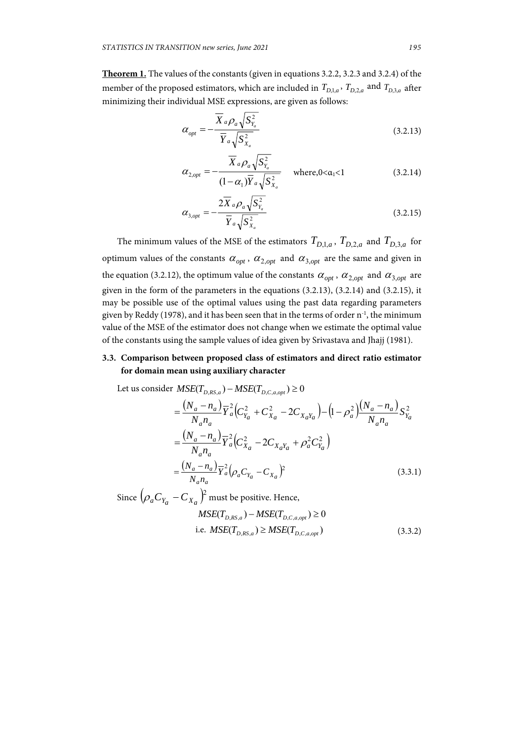**Theorem 1.** The values of the constants (given in equations 3.2.2, 3.2.3 and 3.2.4) of the member of the proposed estimators, which are included in  $T_{D,1,a}$ ,  $T_{D,2,a}$  and  $T_{D,3,a}$  after minimizing their individual MSE expressions, are given as follows:

$$
\alpha_{opt} = -\frac{\overline{X}_a \rho_a \sqrt{S_{Y_a}^2}}{\overline{Y}_a \sqrt{S_{X_a}^2}}
$$
\n(3.2.13)

$$
\alpha_{2,opt} = -\frac{\overline{X}_a \rho_a \sqrt{S_{Y_a}^2}}{(1 - \alpha_1)\overline{Y}_a \sqrt{S_{X_a}^2}} \quad \text{where, } 0 < \alpha_1 < 1 \tag{3.2.14}
$$

$$
\alpha_{3,opt} = -\frac{2\overline{X}_a \rho_a \sqrt{S_{Y_a}^2}}{\overline{Y}_a \sqrt{S_{X_a}^2}}
$$
\n(3.2.15)

The minimum values of the MSE of the estimators  $T_{D,1,a}$ ,  $T_{D,2,a}$  and  $T_{D,3,a}$  for optimum values of the constants  $\alpha_{opt}$ ,  $\alpha_{2,opt}$  and  $\alpha_{3,opt}$  are the same and given in the equation (3.2.12), the optimum value of the constants  $\alpha_{opt}$ ,  $\alpha_{2,opt}$  and  $\alpha_{3,opt}$  are given in the form of the parameters in the equations (3.2.13), (3.2.14) and (3.2.15), it may be possible use of the optimal values using the past data regarding parameters given by Reddy (1978), and it has been seen that in the terms of order  $n^{-1}$ , the minimum value of the MSE of the estimator does not change when we estimate the optimal value of the constants using the sample values of idea given by Srivastava and Jhajj (1981).

# **3.3. Comparison between proposed class of estimators and direct ratio estimator for domain mean using auxiliary character**

Let us consider 
$$
MSE(T_{D,RS,a}) - MSE(T_{D,C,a,opt}) \ge 0
$$
  
\n
$$
= \frac{(N_a - n_a)}{N_a n_a} \overline{Y}_a^2 (C_{Y_a}^2 + C_{X_a}^2 - 2C_{X_a Y_a}) - (1 - \rho_a^2) \frac{(N_a - n_a)}{N_a n_a} S_{Y_a}^2
$$
\n
$$
= \frac{(N_a - n_a)}{N_a n_a} \overline{Y}_a^2 (C_{X_a}^2 - 2C_{X_a Y_a} + \rho_a^2 C_{Y_a}^2)
$$
\n
$$
= \frac{(N_a - n_a)}{N_a n_a} \overline{Y}_a^2 (\rho_a C_{Y_a} - C_{X_a})^2
$$
\n(3.3.1)  
\nSince  $(\rho_a C_{Y_a} - C_{X_a})^2$  must be positive. Hence,

 $MSE(T_{DRS,a}) - MSE(T_{DCR,am}) \geq 0$ i.e.  $MSE(T_{D,RS,a}) \geq MSE(T_{D,C,a,opt})$  (3.3.2)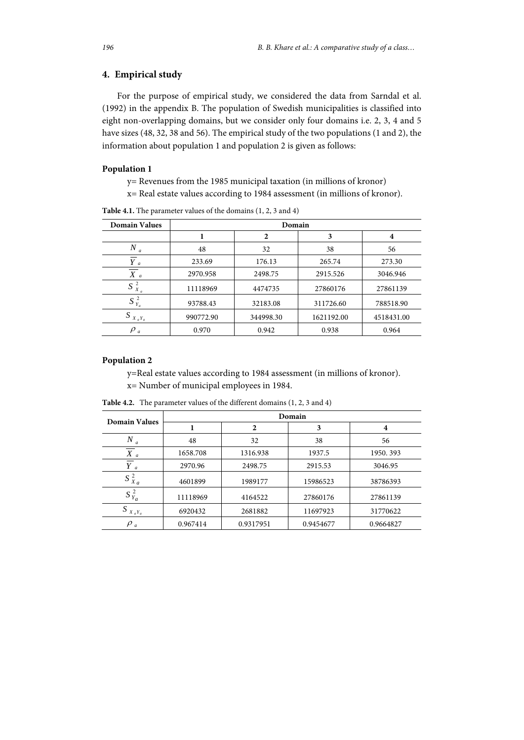# **4. Empirical study**

For the purpose of empirical study, we considered the data from Sarndal et al. (1992) in the appendix B. The population of Swedish municipalities is classified into eight non-overlapping domains, but we consider only four domains i.e. 2, 3, 4 and 5 have sizes (48, 32, 38 and 56). The empirical study of the two populations (1 and 2), the information about population 1 and population 2 is given as follows:

# **Population 1**

- y= Revenues from the 1985 municipal taxation (in millions of kronor)
- x= Real estate values according to 1984 assessment (in millions of kronor).

| <b>Domain Values</b> | Domain    |              |                |            |  |
|----------------------|-----------|--------------|----------------|------------|--|
|                      |           | $\mathbf{2}$ | 3              | 4          |  |
| Ν<br>a               | 48        | 32           | 38             | 56         |  |
| $Y_a$                | 233.69    | 176.13       | 265.74         | 273.30     |  |
| $X_a$                | 2970.958  | 2498.75      | 2915.526       | 3046.946   |  |
| 2<br>$S_{X_a}$       | 11118969  | 4474735      | 27860176       | 27861139   |  |
| $S_{Y_a}^2$          | 93788.43  | 32183.08     | 311726.60      | 788518.90  |  |
| S<br>$X_aY_a$        | 990772.90 | 344998.30    | 1621192.00     | 4518431.00 |  |
| $\rho_a$             | 0.970     | 0.942        | 0.938<br>0.964 |            |  |

**Table 4.1.** The parameter values of the domains (1, 2, 3 and 4)

# **Population 2**

y=Real estate values according to 1984 assessment (in millions of kronor).

x= Number of municipal employees in 1984.

| <b>Domain Values</b> | Domain   |              |           |           |  |
|----------------------|----------|--------------|-----------|-----------|--|
|                      |          | $\mathbf{2}$ | 3         | 4         |  |
| N<br>$\overline{a}$  | 48       | 32           |           | 56        |  |
| $X_a$                | 1658.708 | 1316.938     | 1937.5    | 1950.393  |  |
| $Y_a$                | 2970.96  | 2498.75      | 2915.53   | 3046.95   |  |
| $S_{X_a}^2$          | 4601899  | 1989177      | 15986523  | 38786393  |  |
| $S_{Y_a}^2$          | 11118969 | 4164522      | 27860176  | 27861139  |  |
| $S_{X_aY_a}$         | 6920432  | 2681882      | 11697923  | 31770622  |  |
| $\rho$ <sub>a</sub>  | 0.967414 | 0.9317951    | 0.9454677 | 0.9664827 |  |

**Table 4.2.** The parameter values of the different domains (1, 2, 3 and 4)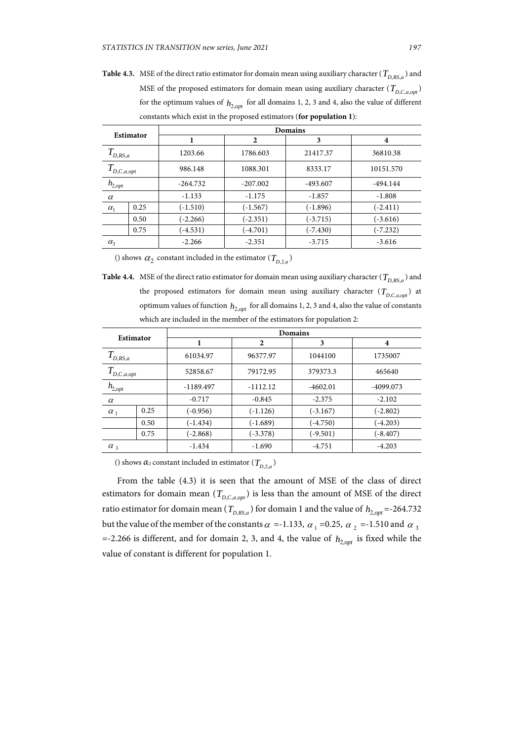**Table 4.3.** MSE of the direct ratio estimator for domain mean using auxiliary character ( $T_{DRS,a}$ ) and MSE of the proposed estimators for domain mean using auxiliary character ( $T_{D,C,a,opt}$ ) for the optimum values of  $h_{2,opt}$  for all domains 1, 2, 3 and 4, also the value of different constants which exist in the proposed estimators (**for population 1**):

| Estimator         |      | Domains    |              |            |            |  |
|-------------------|------|------------|--------------|------------|------------|--|
|                   |      |            | $\mathbf{2}$ | 3          | 4          |  |
| $T_{D,RS,a}$      |      | 1203.66    | 1786.603     | 21417.37   | 36810.38   |  |
| T<br>D, C, a, opt |      | 986.148    | 1088.301     | 8333.17    | 10151.570  |  |
| $h_{2,opt}$       |      | $-264.732$ | $-207.002$   | -493.607   | $-494.144$ |  |
| $\alpha$          |      | $-1.133$   | $-1.175$     | $-1.857$   | $-1.808$   |  |
| $\alpha_1$        | 0.25 | $(-1.510)$ | $(-1.567)$   | $(-1.896)$ | $(-2.411)$ |  |
|                   | 0.50 | $(-2.266)$ | $(-2.351)$   | $(-3.715)$ | $(-3.616)$ |  |
|                   | 0.75 | $(-4.531)$ | $(-4.701)$   | $(-7.430)$ | $(-7.232)$ |  |
| $\alpha_3$        |      | $-2.266$   | $-2.351$     | $-3.715$   | $-3.616$   |  |
|                   |      |            |              |            |            |  |

() shows  $\alpha_2$  constant included in the estimator ( $T_{D,2a}$ )

**Table 4.4.** MSE of the direct ratio estimator for domain mean using auxiliary character ( $T_{DRS,a}$ ) and the proposed estimators for domain mean using auxiliary character  $(T_{D,C,a,opt})$  at optimum values of function  $h_{2,opt}$  for all domains 1, 2, 3 and 4, also the value of constants which are included in the member of the estimators for population 2:

| Estimator            |      | <b>Domains</b> |              |            |            |  |
|----------------------|------|----------------|--------------|------------|------------|--|
|                      |      |                | $\mathbf{2}$ | 3          | 4          |  |
| D,RS,a               |      | 61034.97       | 96377.97     | 1044100    | 1735007    |  |
| $T^{\,}_{D,C,a,opt}$ |      | 52858.67       | 79172.95     | 379373.3   | 465640     |  |
| $h_{2,opt}$          |      | $-1189.497$    | $-1112.12$   | $-4602.01$ | -4099.073  |  |
| $\alpha$             |      | $-0.717$       | $-0.845$     | $-2.375$   | $-2.102$   |  |
| $\alpha_1$           | 0.25 | $(-0.956)$     | $(-1.126)$   | $(-3.167)$ | $(-2.802)$ |  |
|                      | 0.50 | $(-1.434)$     | $(-1.689)$   | $(-4.750)$ | $(-4.203)$ |  |
|                      | 0.75 | $(-2.868)$     | $(-3.378)$   | $(-9.501)$ | $(-8.407)$ |  |
| $\alpha_3$           |      | $-1.434$       | $-1.690$     | $-4.751$   | $-4.203$   |  |

() shows  $\alpha_2$  constant included in estimator ( $T_{D,2a}$ )

From the table (4.3) it is seen that the amount of MSE of the class of direct estimators for domain mean  $(T_{D,C,a,out})$  is less than the amount of MSE of the direct ratio estimator for domain mean ( $T_{D,RS,a}$ ) for domain 1 and the value of  $h_{2,opt}$  =-264.732 but the value of the member of the constants  $\alpha$  =-1.133,  $\alpha_1$  =0.25,  $\alpha_2$  =-1.510 and  $\alpha_3$ =-2.266 is different, and for domain 2, 3, and 4, the value of  $h_{2, \text{out}}$  is fixed while the value of constant is different for population 1.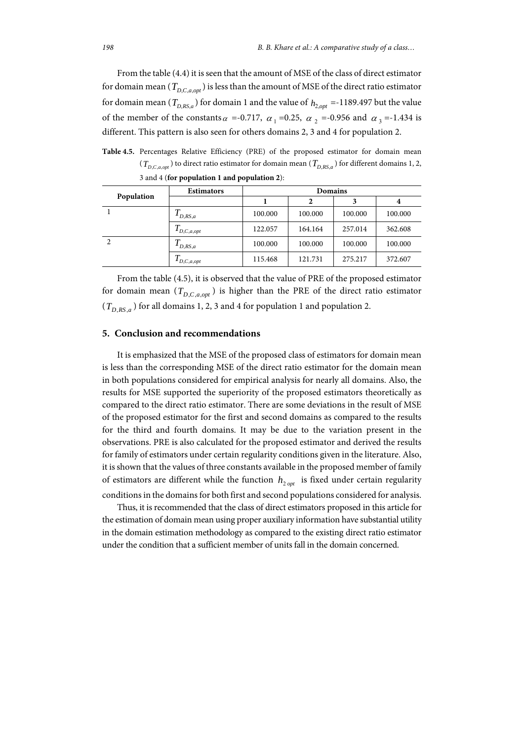From the table (4.4) it is seen that the amount of MSE of the class of direct estimator for domain mean ( $T_{D.C.a,out}$ ) is less than the amount of MSE of the direct ratio estimator for domain mean ( $T_{D,RS,a}$ ) for domain 1 and the value of  $h_{2, out}$  =-1189.497 but the value of the member of the constants  $\alpha$  =-0.717,  $\alpha_1$  =0.25,  $\alpha_2$  =-0.956 and  $\alpha_3$  =-1.434 is different. This pattern is also seen for others domains 2, 3 and 4 for population 2.

**Table 4.5.** Percentages Relative Efficiency (PRE) of the proposed estimator for domain mean  $(T_{D,C,a,opt})$  to direct ratio estimator for domain mean  $(T_{D,RS,a})$  for different domains 1, 2, 3 and 4 (**for population 1 and population 2**):

|               | <b>Estimators</b>     | <b>Domains</b> |         |         |         |
|---------------|-----------------------|----------------|---------|---------|---------|
| Population    |                       |                |         |         |         |
|               | $\mathbf{I}_{D,RS,a}$ | 100.000        | 100.000 | 100.000 | 100.000 |
|               | D, C, a, opt          | 122.057        | 164.164 | 257.014 | 362.608 |
| $\mathcal{L}$ | $\iota_{D,RS,a}$      | 100.000        | 100.000 | 100.000 | 100.000 |
|               | D, C, a, opt          | 115.468        | 121.731 | 275.217 | 372.607 |

From the table (4.5), it is observed that the value of PRE of the proposed estimator for domain mean  $(T_{D,C,a,opt})$  is higher than the PRE of the direct ratio estimator  $(T_{D,RS,a})$  for all domains 1, 2, 3 and 4 for population 1 and population 2.

#### **5. Conclusion and recommendations**

It is emphasized that the MSE of the proposed class of estimators for domain mean is less than the corresponding MSE of the direct ratio estimator for the domain mean in both populations considered for empirical analysis for nearly all domains. Also, the results for MSE supported the superiority of the proposed estimators theoretically as compared to the direct ratio estimator. There are some deviations in the result of MSE of the proposed estimator for the first and second domains as compared to the results for the third and fourth domains. It may be due to the variation present in the observations. PRE is also calculated for the proposed estimator and derived the results for family of estimators under certain regularity conditions given in the literature. Also, it is shown that the values of three constants available in the proposed member of family of estimators are different while the function  $h_{2,opt}$  is fixed under certain regularity conditions in the domains for both first and second populations considered for analysis.

Thus, it is recommended that the class of direct estimators proposed in this article for the estimation of domain mean using proper auxiliary information have substantial utility in the domain estimation methodology as compared to the existing direct ratio estimator under the condition that a sufficient member of units fall in the domain concerned.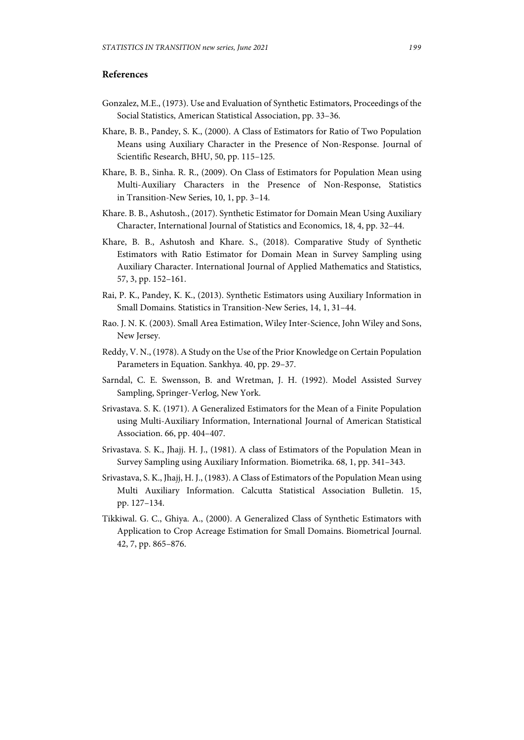# **References**

- Gonzalez, M.E., (1973). Use and Evaluation of Synthetic Estimators, Proceedings of the Social Statistics, American Statistical Association, pp. 33–36.
- Khare, B. B., Pandey, S. K., (2000). A Class of Estimators for Ratio of Two Population Means using Auxiliary Character in the Presence of Non-Response. Journal of Scientific Research, BHU, 50, pp. 115–125.
- Khare, B. B., Sinha. R. R., (2009). On Class of Estimators for Population Mean using Multi-Auxiliary Characters in the Presence of Non-Response, Statistics in Transition-New Series, 10, 1, pp. 3–14.
- Khare. B. B., Ashutosh., (2017). Synthetic Estimator for Domain Mean Using Auxiliary Character, International Journal of Statistics and Economics, 18, 4, pp. 32–44.
- Khare, B. B., Ashutosh and Khare. S., (2018). Comparative Study of Synthetic Estimators with Ratio Estimator for Domain Mean in Survey Sampling using Auxiliary Character. International Journal of Applied Mathematics and Statistics, 57, 3, pp. 152–161.
- Rai, P. K., Pandey, K. K., (2013). Synthetic Estimators using Auxiliary Information in Small Domains. Statistics in Transition-New Series, 14, 1, 31–44.
- Rao. J. N. K. (2003). Small Area Estimation, Wiley Inter-Science, John Wiley and Sons, New Jersey.
- Reddy, V. N., (1978). A Study on the Use of the Prior Knowledge on Certain Population Parameters in Equation. Sankhya. 40, pp. 29–37.
- Sarndal, C. E. Swensson, B. and Wretman, J. H. (1992). Model Assisted Survey Sampling, Springer-Verlog, New York.
- Srivastava. S. K. (1971). A Generalized Estimators for the Mean of a Finite Population using Multi-Auxiliary Information, International Journal of American Statistical Association. 66, pp. 404–407.
- Srivastava. S. K., Jhajj. H. J., (1981). A class of Estimators of the Population Mean in Survey Sampling using Auxiliary Information. Biometrika. 68, 1, pp. 341–343.
- Srivastava, S. K., Jhajj, H. J., (1983). A Class of Estimators of the Population Mean using Multi Auxiliary Information. Calcutta Statistical Association Bulletin. 15, pp. 127–134.
- Tikkiwal. G. C., Ghiya. A., (2000). A Generalized Class of Synthetic Estimators with Application to Crop Acreage Estimation for Small Domains. Biometrical Journal. 42, 7, pp. 865–876.